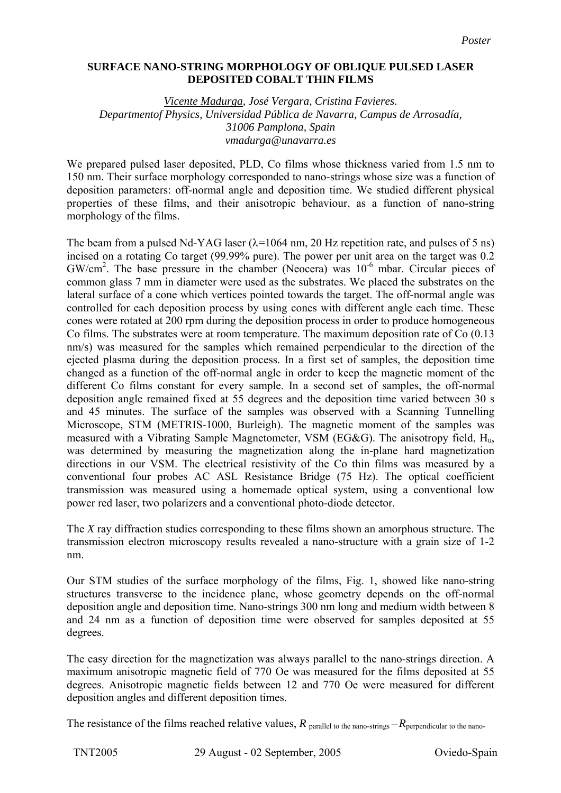## **SURFACE NANO-STRING MORPHOLOGY OF OBLIQUE PULSED LASER DEPOSITED COBALT THIN FILMS**

*Vicente Madurga, José Vergara, Cristina Favieres. Departmentof Physics, Universidad Pública de Navarra, Campus de Arrosadía, 31006 Pamplona, Spain vmadurga@unavarra.es* 

We prepared pulsed laser deposited, PLD, Co films whose thickness varied from 1.5 nm to 150 nm. Their surface morphology corresponded to nano-strings whose size was a function of deposition parameters: off-normal angle and deposition time. We studied different physical properties of these films, and their anisotropic behaviour, as a function of nano-string morphology of the films.

The beam from a pulsed Nd-YAG laser  $(\lambda=1064 \text{ nm}, 20 \text{ Hz}$  repetition rate, and pulses of 5 ns) incised on a rotating Co target (99.99% pure). The power per unit area on the target was 0.2 GW/cm<sup>2</sup>. The base pressure in the chamber (Neocera) was 10<sup>-6</sup> mbar. Circular pieces of common glass 7 mm in diameter were used as the substrates. We placed the substrates on the lateral surface of a cone which vertices pointed towards the target. The off-normal angle was controlled for each deposition process by using cones with different angle each time. These cones were rotated at 200 rpm during the deposition process in order to produce homogeneous Co films. The substrates were at room temperature. The maximum deposition rate of Co (0.13 nm/s) was measured for the samples which remained perpendicular to the direction of the ejected plasma during the deposition process. In a first set of samples, the deposition time changed as a function of the off-normal angle in order to keep the magnetic moment of the different Co films constant for every sample. In a second set of samples, the off-normal deposition angle remained fixed at 55 degrees and the deposition time varied between 30 s and 45 minutes. The surface of the samples was observed with a Scanning Tunnelling Microscope, STM (METRIS-1000, Burleigh). The magnetic moment of the samples was measured with a Vibrating Sample Magnetometer, VSM (EG&G). The anisotropy field, Hu, was determined by measuring the magnetization along the in-plane hard magnetization directions in our VSM. The electrical resistivity of the Co thin films was measured by a conventional four probes AC ASL Resistance Bridge (75 Hz). The optical coefficient transmission was measured using a homemade optical system, using a conventional low power red laser, two polarizers and a conventional photo-diode detector.

The *X* ray diffraction studies corresponding to these films shown an amorphous structure. The transmission electron microscopy results revealed a nano-structure with a grain size of 1-2 nm.

Our STM studies of the surface morphology of the films, Fig. 1, showed like nano-string structures transverse to the incidence plane, whose geometry depends on the off-normal deposition angle and deposition time. Nano-strings 300 nm long and medium width between 8 and 24 nm as a function of deposition time were observed for samples deposited at 55 degrees.

The easy direction for the magnetization was always parallel to the nano-strings direction. A maximum anisotropic magnetic field of 770 Oe was measured for the films deposited at 55 degrees. Anisotropic magnetic fields between 12 and 770 Oe were measured for different deposition angles and different deposition times.

The resistance of the films reached relative values,  $R_{\text{parallel to the nano-string}} - R_{\text{perpendicular to the nano-}}$